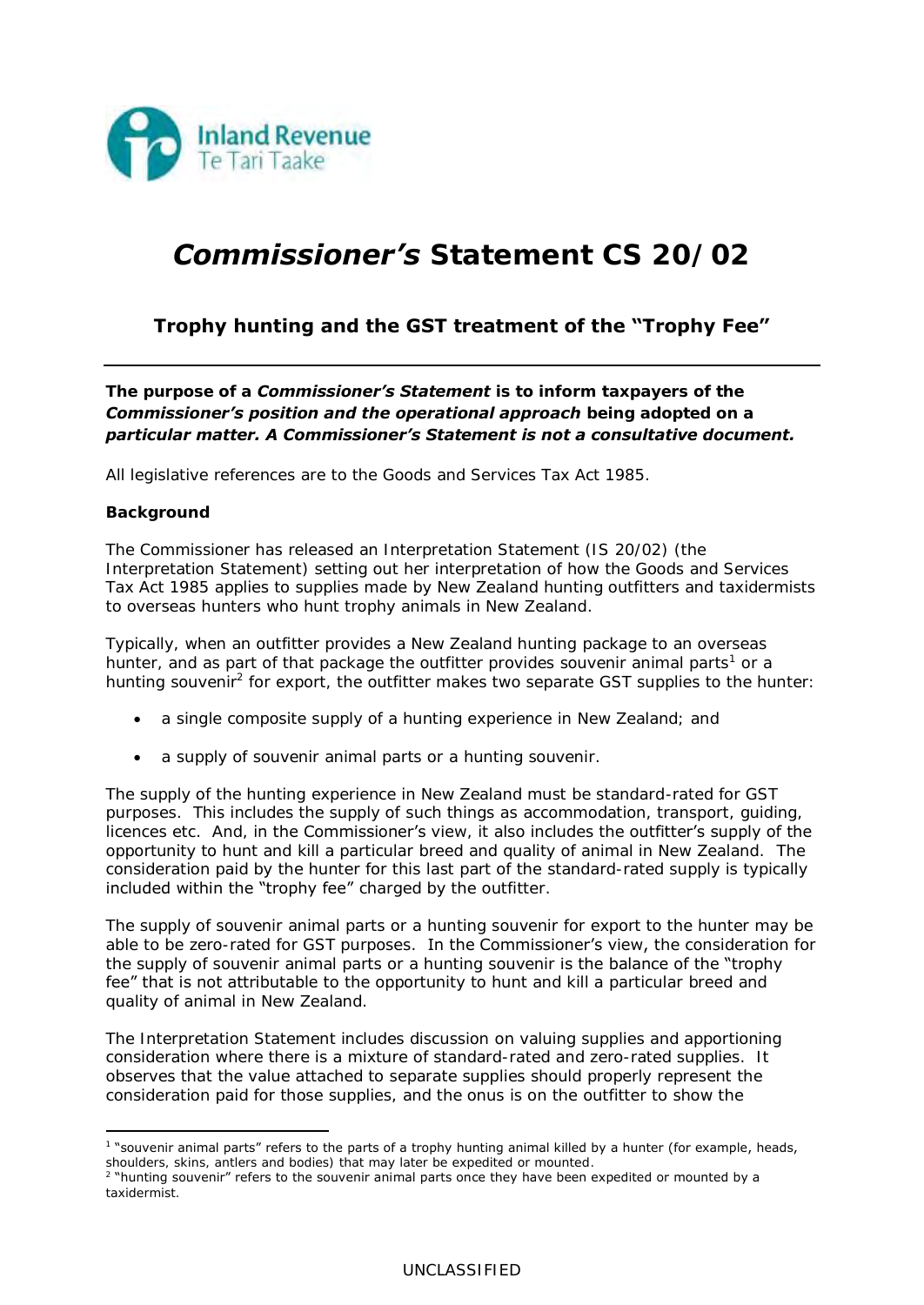

## *Commissioner's Statement CS 20/02*

## **Trophy hunting and the GST treatment of the "Trophy Fee"**

*The purpose of a Commissioner's Statement is to inform taxpayers of the Commissioner's position and the operational approach being adopted on a particular matter. A Commissioner's Statement is not a consultative document.* 

All legislative references are to the Goods and Services Tax Act 1985.

## **Background**

The Commissioner has released an Interpretation Statement (IS 20/02) (the *Interpretation Statement*) setting out her interpretation of how the Goods and Services Tax Act 1985 applies to supplies made by New Zealand hunting outfitters and taxidermists to overseas hunters who hunt trophy animals in New Zealand.

Typically, when an outfitter provides a New Zealand hunting package to an overseas hunter, and as part of that package the outfitter provides souvenir animal parts<sup>1</sup> or a hunting souvenir<sup>2</sup> for export, the outfitter makes two separate GST supplies to the hunter:

- a single composite supply of a hunting experience in New Zealand; and
- a supply of souvenir animal parts or a hunting souvenir.

The supply of the hunting experience in New Zealand must be standard-rated for GST purposes. This includes the supply of such things as accommodation, transport, guiding, licences etc. And, in the Commissioner's view, it also includes the outfitter's supply of the opportunity to hunt and kill a particular breed and quality of animal in New Zealand. The consideration paid by the hunter for this last part of the standard-rated supply is typically included within the "trophy fee" charged by the outfitter.

The supply of souvenir animal parts or a hunting souvenir for export to the hunter may be able to be zero-rated for GST purposes. In the Commissioner's view, the consideration for the supply of souvenir animal parts or a hunting souvenir is the balance of the "trophy fee" that is not attributable to the opportunity to hunt and kill a particular breed and quality of animal in New Zealand.

The Interpretation Statement includes discussion on valuing supplies and apportioning consideration where there is a mixture of standard-rated and zero-rated supplies. It observes that the value attached to separate supplies should properly represent the consideration paid for those supplies, and the onus is on the outfitter to show the

<sup>1</sup> "souvenir animal parts" refers to the parts of a trophy hunting animal killed by a hunter (for example, heads, shoulders, skins, antlers and bodies) that may later be expedited or mounted.

<sup>2</sup> "hunting souvenir" refers to the souvenir animal parts once they have been expedited or mounted by a taxidermist.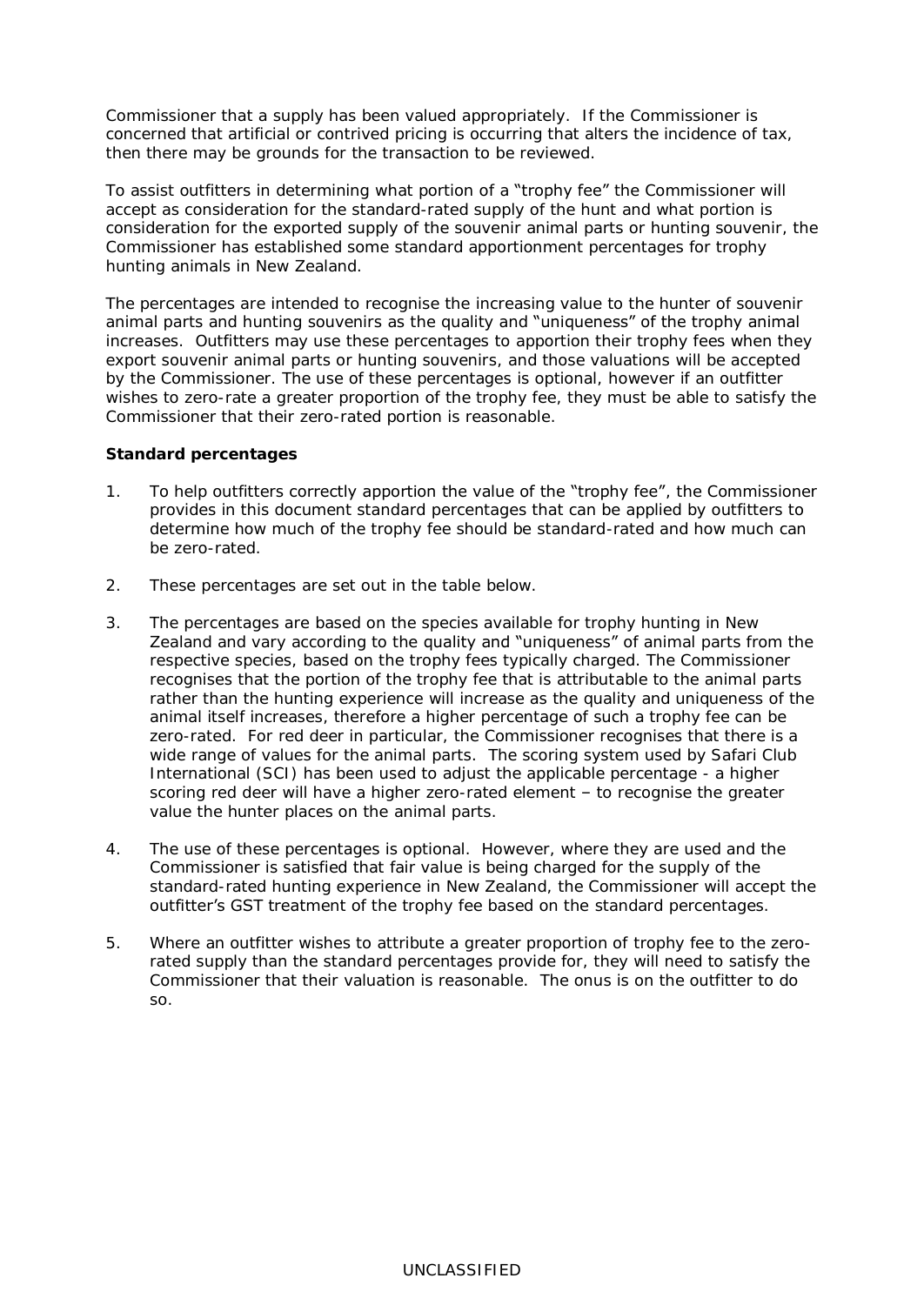Commissioner that a supply has been valued appropriately. If the Commissioner is concerned that artificial or contrived pricing is occurring that alters the incidence of tax, then there may be grounds for the transaction to be reviewed.

To assist outfitters in determining what portion of a "trophy fee" the Commissioner will accept as consideration for the standard-rated supply of the hunt and what portion is consideration for the exported supply of the souvenir animal parts or hunting souvenir, the Commissioner has established some standard apportionment percentages for trophy hunting animals in New Zealand.

The percentages are intended to recognise the increasing value to the hunter of souvenir animal parts and hunting souvenirs as the quality and "uniqueness" of the trophy animal increases. Outfitters may use these percentages to apportion their trophy fees when they export souvenir animal parts or hunting souvenirs, and those valuations will be accepted by the Commissioner. The use of these percentages is optional, however if an outfitter wishes to zero-rate a greater proportion of the trophy fee, they must be able to satisfy the Commissioner that their zero-rated portion is reasonable.

## **Standard percentages**

- 1. To help outfitters correctly apportion the value of the "trophy fee", the Commissioner provides in this document standard percentages that can be applied by outfitters to determine how much of the trophy fee should be standard-rated and how much can be zero-rated.
- 2. These percentages are set out in the table below.
- 3. The percentages are based on the species available for trophy hunting in New Zealand and vary according to the quality and "uniqueness" of animal parts from the respective species, based on the trophy fees typically charged. The Commissioner recognises that the portion of the trophy fee that is attributable to the animal parts rather than the hunting experience will increase as the quality and uniqueness of the animal itself increases, therefore a higher percentage of such a trophy fee can be zero-rated. For red deer in particular, the Commissioner recognises that there is a wide range of values for the animal parts. The scoring system used by Safari Club International (SCI) has been used to adjust the applicable percentage - a higher scoring red deer will have a higher zero-rated element – to recognise the greater value the hunter places on the animal parts.
- 4. The use of these percentages is optional. However, where they are used and the Commissioner is satisfied that fair value is being charged for the supply of the standard-rated hunting experience in New Zealand, the Commissioner will accept the outfitter's GST treatment of the trophy fee based on the standard percentages.
- 5. Where an outfitter wishes to attribute a greater proportion of trophy fee to the zerorated supply than the standard percentages provide for, they will need to satisfy the Commissioner that their valuation is reasonable. The onus is on the outfitter to do so.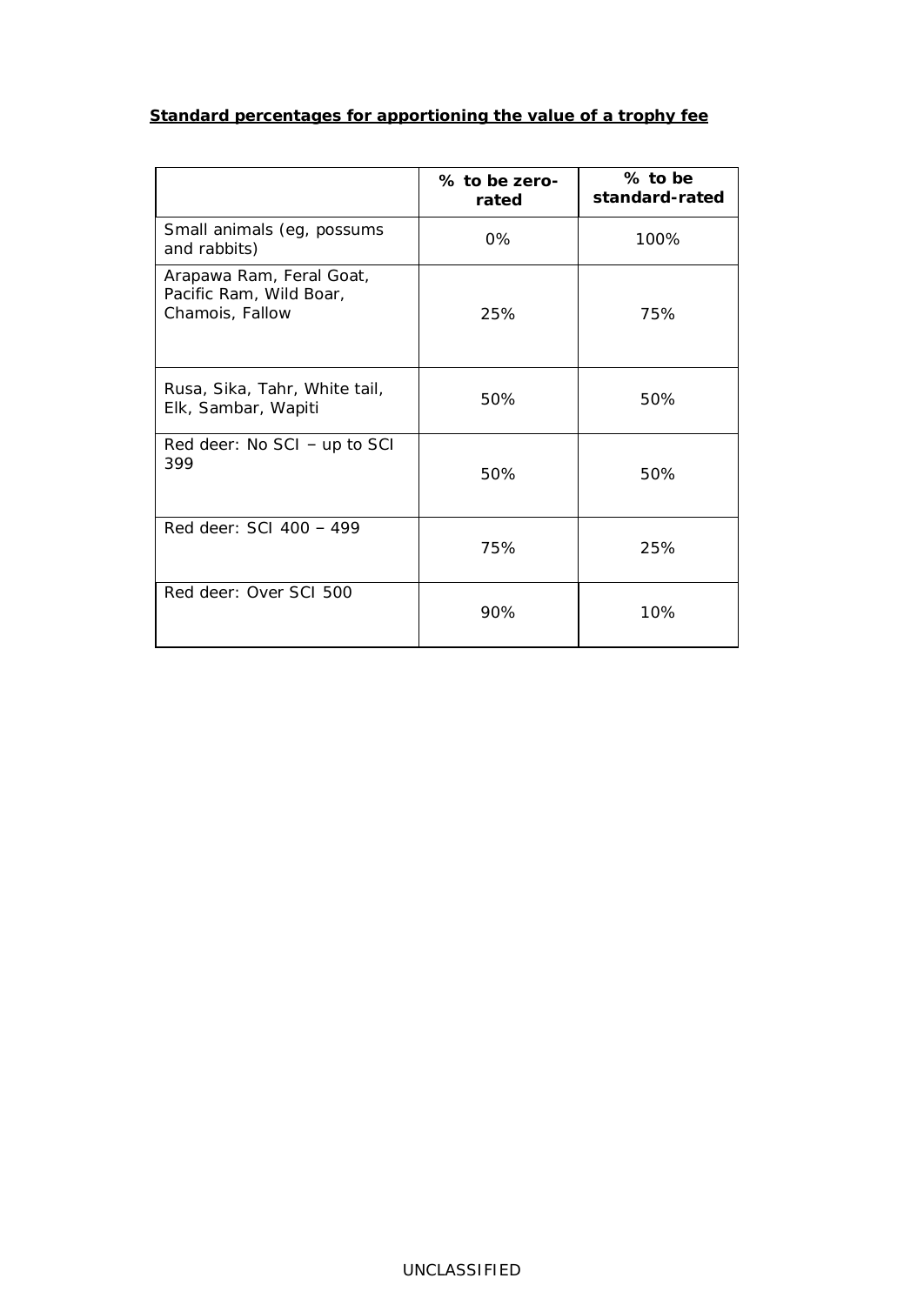| Standard percentages for apportioning the value of a trophy fee |  |  |
|-----------------------------------------------------------------|--|--|
|                                                                 |  |  |
|                                                                 |  |  |

|                                                                        | % to be zero-<br>rated | % to be<br>standard-rated |
|------------------------------------------------------------------------|------------------------|---------------------------|
| Small animals (eg, possums<br>and rabbits)                             | 0%                     | 100%                      |
| Arapawa Ram, Feral Goat,<br>Pacific Ram, Wild Boar,<br>Chamois, Fallow | 25%                    | 75%                       |
| Rusa, Sika, Tahr, White tail,<br>Elk, Sambar, Wapiti                   | 50%                    | 50%                       |
| Red deer: $No SCI - up to SCI$<br>399                                  | 50%                    | 50%                       |
| Red deer: SCI 400 - 499                                                | 75%                    | 25%                       |
| Red deer: Over SCI 500                                                 | 90%                    | 10%                       |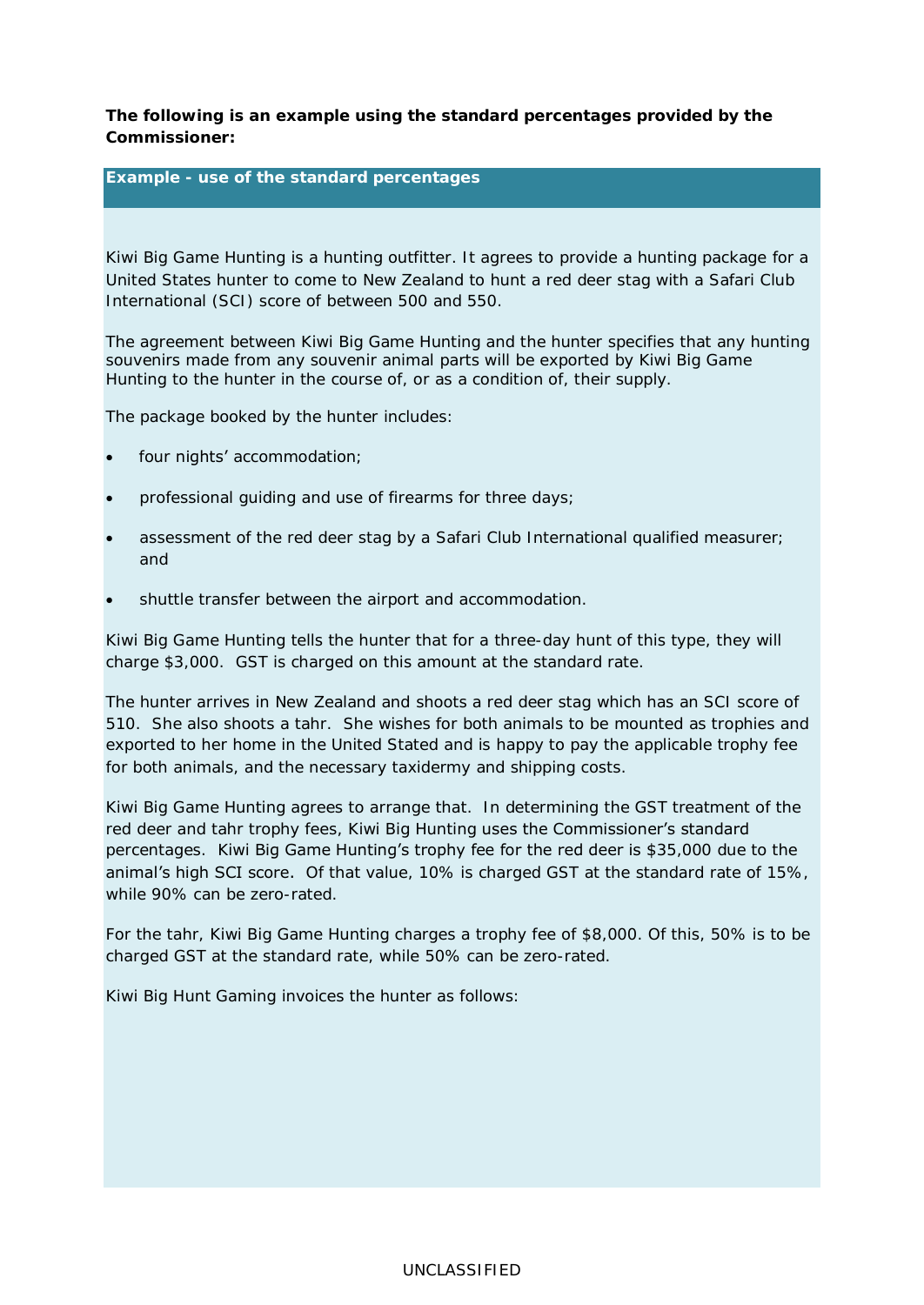**The following is an example using the standard percentages provided by the Commissioner:** 

**Example - use of the standard percentages**

Kiwi Big Game Hunting is a hunting outfitter. It agrees to provide a hunting package for a United States hunter to come to New Zealand to hunt a red deer stag with a Safari Club International (SCI) score of between 500 and 550.

The agreement between Kiwi Big Game Hunting and the hunter specifies that any hunting souvenirs made from any souvenir animal parts will be exported by Kiwi Big Game Hunting to the hunter in the course of, or as a condition of, their supply.

The package booked by the hunter includes:

- four nights' accommodation;
- professional guiding and use of firearms for three days;
- assessment of the red deer stag by a Safari Club International qualified measurer; and
- shuttle transfer between the airport and accommodation.

Kiwi Big Game Hunting tells the hunter that for a three-day hunt of this type, they will charge \$3,000. GST is charged on this amount at the standard rate.

The hunter arrives in New Zealand and shoots a red deer stag which has an SCI score of 510. She also shoots a tahr. She wishes for both animals to be mounted as trophies and exported to her home in the United Stated and is happy to pay the applicable trophy fee for both animals, and the necessary taxidermy and shipping costs.

Kiwi Big Game Hunting agrees to arrange that. In determining the GST treatment of the red deer and tahr trophy fees, Kiwi Big Hunting uses the Commissioner's standard percentages. Kiwi Big Game Hunting's trophy fee for the red deer is \$35,000 due to the animal's high SCI score. Of that value, 10% is charged GST at the standard rate of 15%, while 90% can be zero-rated.

For the tahr, Kiwi Big Game Hunting charges a trophy fee of \$8,000. Of this, 50% is to be charged GST at the standard rate, while 50% can be zero-rated.

Kiwi Big Hunt Gaming invoices the hunter as follows: